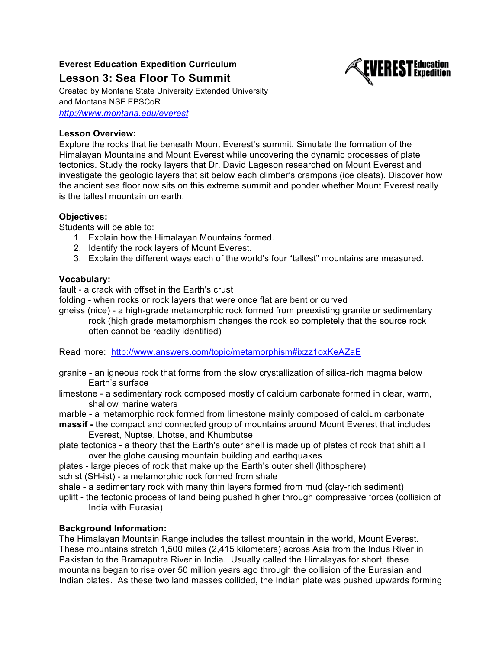# **Everest Education Expedition Curriculum Lesson 3: Sea Floor To Summit**



Created by Montana State University Extended University and Montana NSF EPSCoR *http://www.montana.edu/everest*

# **Lesson Overview:**

Explore the rocks that lie beneath Mount Everest's summit. Simulate the formation of the Himalayan Mountains and Mount Everest while uncovering the dynamic processes of plate tectonics. Study the rocky layers that Dr. David Lageson researched on Mount Everest and investigate the geologic layers that sit below each climber's crampons (ice cleats). Discover how the ancient sea floor now sits on this extreme summit and ponder whether Mount Everest really is the tallest mountain on earth.

# **Objectives:**

Students will be able to:

- 1. Explain how the Himalayan Mountains formed.
- 2. Identify the rock layers of Mount Everest.
- 3. Explain the different ways each of the world's four "tallest" mountains are measured.

# **Vocabulary:**

fault - a crack with offset in the Earth's crust

folding - when rocks or rock layers that were once flat are bent or curved

gneiss (nice) - a high-grade metamorphic rock formed from preexisting granite or sedimentary rock (high grade metamorphism changes the rock so completely that the source rock often cannot be readily identified)

Read more: http://www.answers.com/topic/metamorphism#ixzz1oxKeAZaE

- granite an igneous rock that forms from the slow crystallization of silica-rich magma below Earth's surface
- limestone a sedimentary rock composed mostly of calcium carbonate formed in clear, warm, shallow marine waters
- marble a metamorphic rock formed from limestone mainly composed of calcium carbonate
- **massif -** the compact and connected group of mountains around Mount Everest that includes Everest, Nuptse, Lhotse, and Khumbutse
- plate tectonics a theory that the Earth's outer shell is made up of plates of rock that shift all over the globe causing mountain building and earthquakes
- plates large pieces of rock that make up the Earth's outer shell (lithosphere)
- schist (SH-ist) a metamorphic rock formed from shale
- shale a sedimentary rock with many thin layers formed from mud (clay-rich sediment)
- uplift the tectonic process of land being pushed higher through compressive forces (collision of India with Eurasia)

# **Background Information:**

The Himalayan Mountain Range includes the tallest mountain in the world, Mount Everest. These mountains stretch 1,500 miles (2,415 kilometers) across Asia from the Indus River in Pakistan to the Bramaputra River in India. Usually called the Himalayas for short, these mountains began to rise over 50 million years ago through the collision of the Eurasian and Indian plates. As these two land masses collided, the Indian plate was pushed upwards forming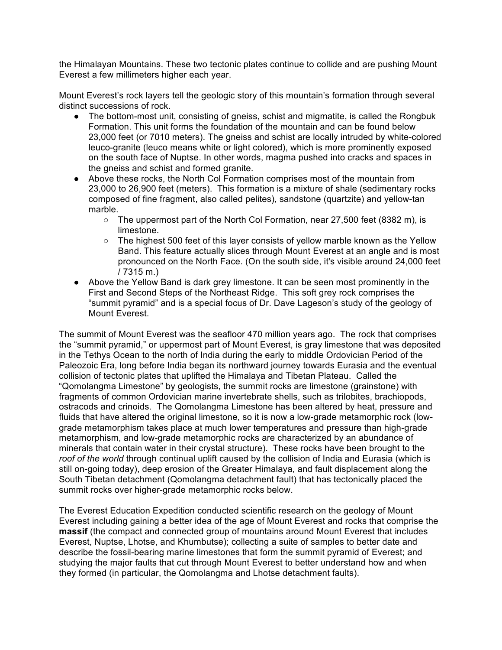the Himalayan Mountains. These two tectonic plates continue to collide and are pushing Mount Everest a few millimeters higher each year.

Mount Everest's rock layers tell the geologic story of this mountain's formation through several distinct successions of rock.

- The bottom-most unit, consisting of gneiss, schist and migmatite, is called the Rongbuk Formation. This unit forms the foundation of the mountain and can be found below 23,000 feet (or 7010 meters). The gneiss and schist are locally intruded by white-colored leuco-granite (leuco means white or light colored), which is more prominently exposed on the south face of Nuptse. In other words, magma pushed into cracks and spaces in the gneiss and schist and formed granite.
- Above these rocks, the North Col Formation comprises most of the mountain from 23,000 to 26,900 feet (meters). This formation is a mixture of shale (sedimentary rocks composed of fine fragment, also called pelites), sandstone (quartzite) and yellow-tan marble.
	- The uppermost part of the North Col Formation, near 27,500 feet (8382 m), is limestone.
	- $\circ$  The highest 500 feet of this layer consists of yellow marble known as the Yellow Band. This feature actually slices through Mount Everest at an angle and is most pronounced on the North Face. (On the south side, it's visible around 24,000 feet / 7315 m.)
- Above the Yellow Band is dark grey limestone. It can be seen most prominently in the First and Second Steps of the Northeast Ridge. This soft grey rock comprises the "summit pyramid" and is a special focus of Dr. Dave Lageson's study of the geology of Mount Everest.

The summit of Mount Everest was the seafloor 470 million years ago. The rock that comprises the "summit pyramid," or uppermost part of Mount Everest, is gray limestone that was deposited in the Tethys Ocean to the north of India during the early to middle Ordovician Period of the Paleozoic Era, long before India began its northward journey towards Eurasia and the eventual collision of tectonic plates that uplifted the Himalaya and Tibetan Plateau. Called the "Qomolangma Limestone" by geologists, the summit rocks are limestone (grainstone) with fragments of common Ordovician marine invertebrate shells, such as trilobites, brachiopods, ostracods and crinoids. The Qomolangma Limestone has been altered by heat, pressure and fluids that have altered the original limestone, so it is now a low-grade metamorphic rock (lowgrade metamorphism takes place at much lower temperatures and pressure than high-grade metamorphism, and low-grade metamorphic rocks are characterized by an abundance of minerals that contain water in their crystal structure). These rocks have been brought to the *roof of the world* through continual uplift caused by the collision of India and Eurasia (which is still on-going today), deep erosion of the Greater Himalaya, and fault displacement along the South Tibetan detachment (Qomolangma detachment fault) that has tectonically placed the summit rocks over higher-grade metamorphic rocks below.

The Everest Education Expedition conducted scientific research on the geology of Mount Everest including gaining a better idea of the age of Mount Everest and rocks that comprise the **massif** (the compact and connected group of mountains around Mount Everest that includes Everest, Nuptse, Lhotse, and Khumbutse); collecting a suite of samples to better date and describe the fossil-bearing marine limestones that form the summit pyramid of Everest; and studying the major faults that cut through Mount Everest to better understand how and when they formed (in particular, the Qomolangma and Lhotse detachment faults).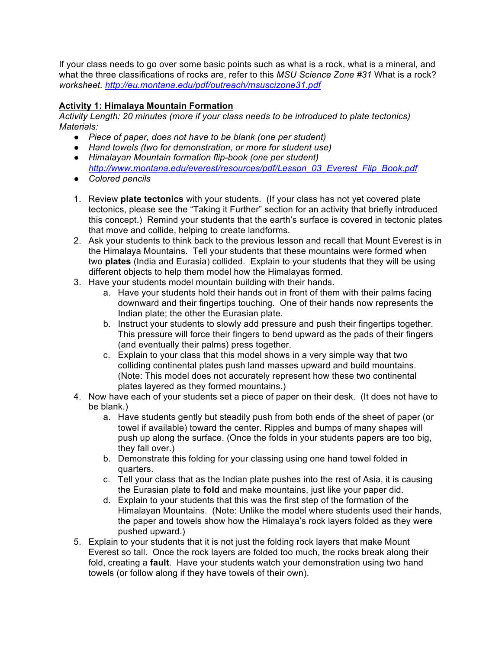If your class needs to go over some basic points such as what is a rock, what is a mineral, and what the three classifications of rocks are, refer to this *MSU Science Zone #31* What is a rock? *worksheet. http://eu.montana.edu/pdf/outreach/msuscizone31.pdf*

# **Activity 1: Himalaya Mountain Formation**

*Activity Length: 20 minutes (more if your class needs to be introduced to plate tectonics) Materials:*

- *● Piece of paper, does not have to be blank (one per student)*
- *● Hand towels (two for demonstration, or more for student use) ● Himalayan Mountain formation flip-book (one per student)*
- *http://www.montana.edu/everest/resources/pdf/Lesson\_03\_Everest\_Flip\_Book.pdf ● Colored pencils*
- 1. Review **plate tectonics** with your students. (If your class has not yet covered plate tectonics, please see the "Taking it Further" section for an activity that briefly introduced this concept.) Remind your students that the earth's surface is covered in tectonic plates that move and collide, helping to create landforms.
- 2. Ask your students to think back to the previous lesson and recall that Mount Everest is in the Himalaya Mountains. Tell your students that these mountains were formed when two **plates** (India and Eurasia) collided. Explain to your students that they will be using different objects to help them model how the Himalayas formed.
- 3. Have your students model mountain building with their hands.
	- a. Have your students hold their hands out in front of them with their palms facing downward and their fingertips touching. One of their hands now represents the Indian plate; the other the Eurasian plate.
	- b. Instruct your students to slowly add pressure and push their fingertips together. This pressure will force their fingers to bend upward as the pads of their fingers (and eventually their palms) press together.
	- c. Explain to your class that this model shows in a very simple way that two colliding continental plates push land masses upward and build mountains. (Note: This model does not accurately represent how these two continental plates layered as they formed mountains.)
- 4. Now have each of your students set a piece of paper on their desk. (It does not have to be blank.)
	- a. Have students gently but steadily push from both ends of the sheet of paper (or towel if available) toward the center. Ripples and bumps of many shapes will push up along the surface. (Once the folds in your students papers are too big, they fall over.)
	- b. Demonstrate this folding for your classing using one hand towel folded in quarters.
	- c. Tell your class that as the Indian plate pushes into the rest of Asia, it is causing the Eurasian plate to **fold** and make mountains, just like your paper did.
	- d. Explain to your students that this was the first step of the formation of the Himalayan Mountains. (Note: Unlike the model where students used their hands, the paper and towels show how the Himalaya's rock layers folded as they were pushed upward.)
- 5. Explain to your students that it is not just the folding rock layers that make Mount Everest so tall. Once the rock layers are folded too much, the rocks break along their fold, creating a **fault**. Have your students watch your demonstration using two hand towels (or follow along if they have towels of their own).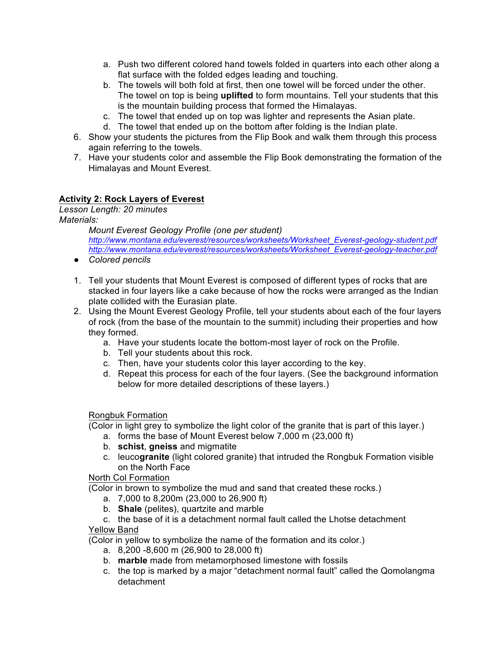- a. Push two different colored hand towels folded in quarters into each other along a flat surface with the folded edges leading and touching.
- b. The towels will both fold at first, then one towel will be forced under the other. The towel on top is being **uplifted** to form mountains. Tell your students that this is the mountain building process that formed the Himalayas.
- c. The towel that ended up on top was lighter and represents the Asian plate.
- d. The towel that ended up on the bottom after folding is the Indian plate.
- 6. Show your students the pictures from the Flip Book and walk them through this process again referring to the towels.
- 7. Have your students color and assemble the Flip Book demonstrating the formation of the Himalayas and Mount Everest.

# **Activity 2: Rock Layers of Everest**

*Lesson Length: 20 minutes Materials:* 

> *Mount Everest Geology Profile (one per student) http://www.montana.edu/everest/resources/worksheets/Worksheet\_Everest-geology-student.pdf http://www.montana.edu/everest/resources/worksheets/Worksheet\_Everest-geology-teacher.pdf*

- *● Colored pencils*
- 1. Tell your students that Mount Everest is composed of different types of rocks that are stacked in four layers like a cake because of how the rocks were arranged as the Indian plate collided with the Eurasian plate.
- 2. Using the Mount Everest Geology Profile, tell your students about each of the four layers of rock (from the base of the mountain to the summit) including their properties and how they formed.
	- a. Have your students locate the bottom-most layer of rock on the Profile.
	- b. Tell your students about this rock.
	- c. Then, have your students color this layer according to the key.
	- d. Repeat this process for each of the four layers. (See the background information below for more detailed descriptions of these layers.)

## Rongbuk Formation

(Color in light grey to symbolize the light color of the granite that is part of this layer.)

- a. forms the base of Mount Everest below 7,000 m (23,000 ft)
- b. **schist**, **gneiss** and migmatite
- c. leuco**granite** (light colored granite) that intruded the Rongbuk Formation visible on the North Face

## North Col Formation

(Color in brown to symbolize the mud and sand that created these rocks.)

- a. 7,000 to 8,200m (23,000 to 26,900 ft)
- b. **Shale** (pelites), quartzite and marble

# c. the base of it is a detachment normal fault called the Lhotse detachment

# Yellow Band

(Color in yellow to symbolize the name of the formation and its color.)

- a. 8,200 -8,600 m (26,900 to 28,000 ft)
- b. **marble** made from metamorphosed limestone with fossils
- c. the top is marked by a major "detachment normal fault" called the Qomolangma detachment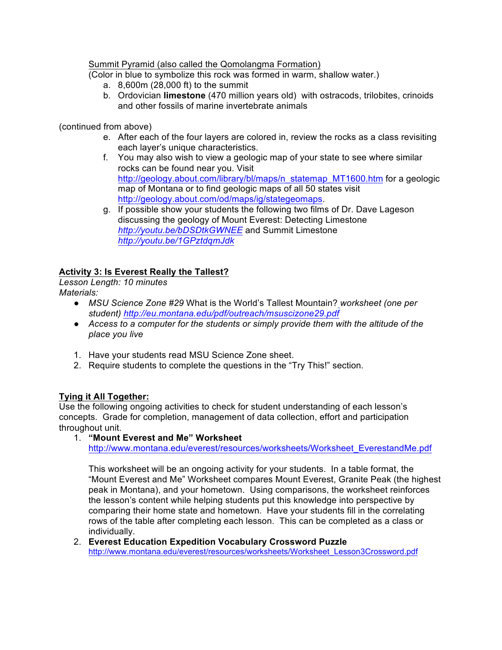Summit Pyramid (also called the Qomolangma Formation)

(Color in blue to symbolize this rock was formed in warm, shallow water.)

- a. 8,600m (28,000 ft) to the summit
- b. Ordovician **limestone** (470 million years old) with ostracods, trilobites, crinoids and other fossils of marine invertebrate animals

(continued from above)

- e. After each of the four layers are colored in, review the rocks as a class revisiting each layer's unique characteristics.
- f. You may also wish to view a geologic map of your state to see where similar rocks can be found near you. Visit http://geology.about.com/library/bl/maps/n\_statemap\_MT1600.htm for a geologic map of Montana or to find geologic maps of all 50 states visit http://geology.about.com/od/maps/ig/stategeomaps.
- g. If possible show your students the following two films of Dr. Dave Lageson discussing the geology of Mount Everest: Detecting Limestone *http://youtu.be/bDSDtkGWNEE* and Summit Limestone *http://youtu.be/1GPztdqmJdk*

# **Activity 3: Is Everest Really the Tallest?**

*Lesson Length: 10 minutes Materials:* 

- *MSU Science Zone #29* What is the World's Tallest Mountain? *worksheet (one per student) http://eu.montana.edu/pdf/outreach/msuscizone29.pdf*
- *● Access to a computer for the students or simply provide them with the altitude of the place you live*
- 1. Have your students read MSU Science Zone sheet.
- 2. Require students to complete the questions in the "Try This!" section.

## **Tying it All Together:**

Use the following ongoing activities to check for student understanding of each lesson's concepts. Grade for completion, management of data collection, effort and participation throughout unit.

1. **"Mount Everest and Me" Worksheet**

http://www.montana.edu/everest/resources/worksheets/Worksheet\_EverestandMe.pdf

This worksheet will be an ongoing activity for your students. In a table format, the "Mount Everest and Me" Worksheet compares Mount Everest, Granite Peak (the highest peak in Montana), and your hometown. Using comparisons, the worksheet reinforces the lesson's content while helping students put this knowledge into perspective by comparing their home state and hometown. Have your students fill in the correlating rows of the table after completing each lesson. This can be completed as a class or individually.

2. **Everest Education Expedition Vocabulary Crossword Puzzle** http://www.montana.edu/everest/resources/worksheets/Worksheet\_Lesson3Crossword.pdf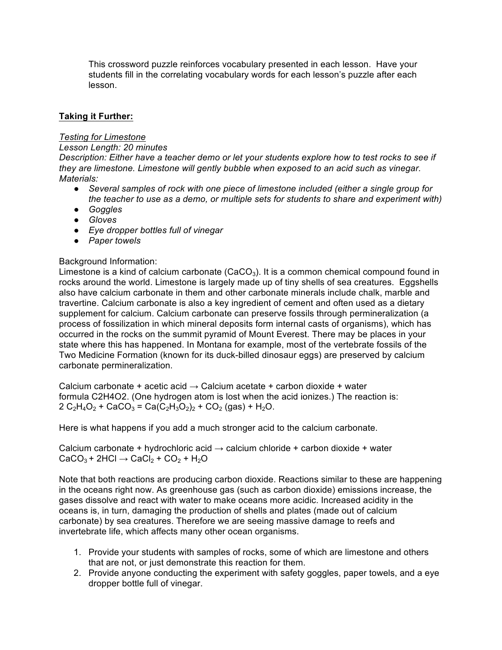This crossword puzzle reinforces vocabulary presented in each lesson. Have your students fill in the correlating vocabulary words for each lesson's puzzle after each lesson.

## **Taking it Further:**

#### *Testing for Limestone*

#### *Lesson Length: 20 minutes*

*Description: Either have a teacher demo or let your students explore how to test rocks to see if they are limestone. Limestone will gently bubble when exposed to an acid such as vinegar. Materials:* 

- *● Several samples of rock with one piece of limestone included (either a single group for the teacher to use as a demo, or multiple sets for students to share and experiment with)*
- *● Goggles*
- *● Gloves*
- *● Eye dropper bottles full of vinegar*
- *● Paper towels*

## Background Information:

Limestone is a kind of calcium carbonate  $(CaCO<sub>3</sub>)$ . It is a common chemical compound found in rocks around the world. Limestone is largely made up of tiny shells of sea creatures. Eggshells also have calcium carbonate in them and other carbonate minerals include chalk, marble and travertine. Calcium carbonate is also a key ingredient of cement and often used as a dietary supplement for calcium. Calcium carbonate can preserve fossils through permineralization (a process of fossilization in which mineral deposits form internal casts of organisms), which has occurred in the rocks on the summit pyramid of Mount Everest. There may be places in your state where this has happened. In Montana for example, most of the vertebrate fossils of the Two Medicine Formation (known for its duck-billed dinosaur eggs) are preserved by calcium carbonate permineralization.

Calcium carbonate + acetic acid  $\rightarrow$  Calcium acetate + carbon dioxide + water formula C2H4O2. (One hydrogen atom is lost when the acid ionizes.) The reaction is:  $2 C_2H_4O_2$  + CaCO<sub>3</sub> = Ca(C<sub>2</sub>H<sub>3</sub>O<sub>2</sub>)<sub>2</sub> + CO<sub>2</sub> (gas) + H<sub>2</sub>O.

Here is what happens if you add a much stronger acid to the calcium carbonate.

Calcium carbonate + hydrochloric acid  $\rightarrow$  calcium chloride + carbon dioxide + water  $CaCO<sub>3</sub> + 2HCl \rightarrow CaCl<sub>2</sub> + CO<sub>2</sub> + H<sub>2</sub>O$ 

Note that both reactions are producing carbon dioxide. Reactions similar to these are happening in the oceans right now. As greenhouse gas (such as carbon dioxide) emissions increase, the gases dissolve and react with water to make oceans more acidic. Increased acidity in the oceans is, in turn, damaging the production of shells and plates (made out of calcium carbonate) by sea creatures. Therefore we are seeing massive damage to reefs and invertebrate life, which affects many other ocean organisms.

- 1. Provide your students with samples of rocks, some of which are limestone and others that are not, or just demonstrate this reaction for them.
- 2. Provide anyone conducting the experiment with safety goggles, paper towels, and a eye dropper bottle full of vinegar.